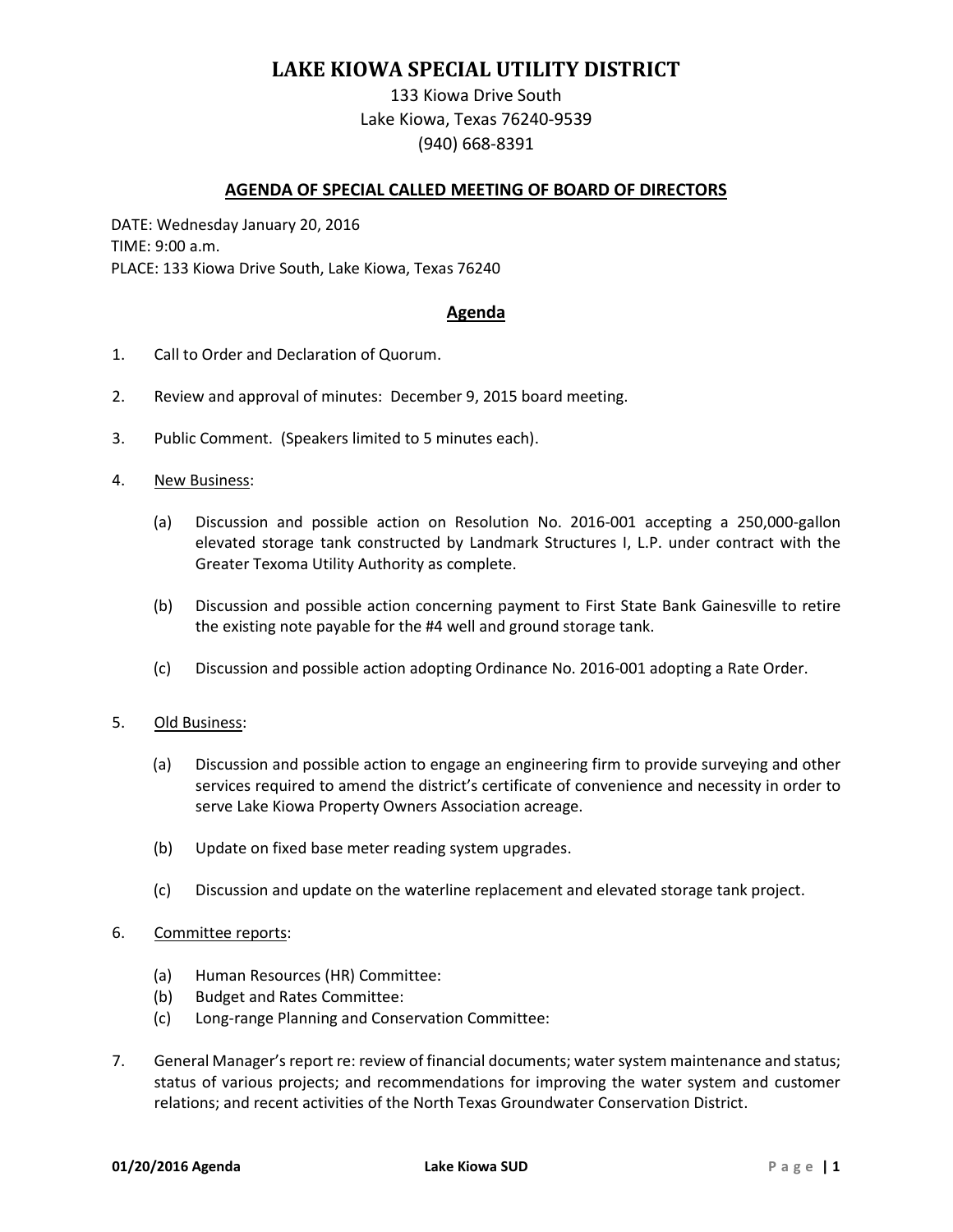## **LAKE KIOWA SPECIAL UTILITY DISTRICT**

133 Kiowa Drive South Lake Kiowa, Texas 76240-9539 (940) 668-8391

## **AGENDA OF SPECIAL CALLED MEETING OF BOARD OF DIRECTORS**

DATE: Wednesday January 20, 2016 TIME: 9:00 a.m. PLACE: 133 Kiowa Drive South, Lake Kiowa, Texas 76240

## **Agenda**

- 1. Call to Order and Declaration of Quorum.
- 2. Review and approval of minutes: December 9, 2015 board meeting.
- 3. Public Comment. (Speakers limited to 5 minutes each).
- 4. New Business:
	- (a) Discussion and possible action on Resolution No. 2016-001 accepting a 250,000-gallon elevated storage tank constructed by Landmark Structures I, L.P. under contract with the Greater Texoma Utility Authority as complete.
	- (b) Discussion and possible action concerning payment to First State Bank Gainesville to retire the existing note payable for the #4 well and ground storage tank.
	- (c) Discussion and possible action adopting Ordinance No. 2016-001 adopting a Rate Order.
- 5. Old Business:
	- (a) Discussion and possible action to engage an engineering firm to provide surveying and other services required to amend the district's certificate of convenience and necessity in order to serve Lake Kiowa Property Owners Association acreage.
	- (b) Update on fixed base meter reading system upgrades.
	- (c) Discussion and update on the waterline replacement and elevated storage tank project.
- 6. Committee reports:
	- (a) Human Resources (HR) Committee:
	- (b) Budget and Rates Committee:
	- (c) Long-range Planning and Conservation Committee:
- 7. General Manager's report re: review of financial documents; water system maintenance and status; status of various projects; and recommendations for improving the water system and customer relations; and recent activities of the North Texas Groundwater Conservation District.